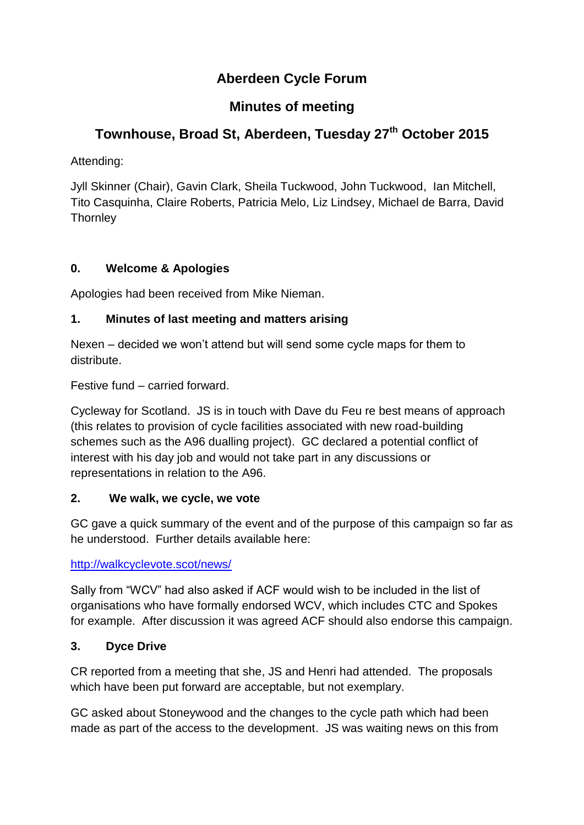# **Aberdeen Cycle Forum**

## **Minutes of meeting**

# **Townhouse, Broad St, Aberdeen, Tuesday 27 th October 2015**

Attending:

Jyll Skinner (Chair), Gavin Clark, Sheila Tuckwood, John Tuckwood, Ian Mitchell, Tito Casquinha, Claire Roberts, Patricia Melo, Liz Lindsey, Michael de Barra, David **Thornley** 

## **0. Welcome & Apologies**

Apologies had been received from Mike Nieman.

#### **1. Minutes of last meeting and matters arising**

Nexen – decided we won't attend but will send some cycle maps for them to distribute.

Festive fund – carried forward.

Cycleway for Scotland. JS is in touch with Dave du Feu re best means of approach (this relates to provision of cycle facilities associated with new road-building schemes such as the A96 dualling project). GC declared a potential conflict of interest with his day job and would not take part in any discussions or representations in relation to the A96.

#### **2. We walk, we cycle, we vote**

GC gave a quick summary of the event and of the purpose of this campaign so far as he understood. Further details available here:

<http://walkcyclevote.scot/news/>

Sally from "WCV" had also asked if ACF would wish to be included in the list of organisations who have formally endorsed WCV, which includes CTC and Spokes for example. After discussion it was agreed ACF should also endorse this campaign.

#### **3. Dyce Drive**

CR reported from a meeting that she, JS and Henri had attended. The proposals which have been put forward are acceptable, but not exemplary.

GC asked about Stoneywood and the changes to the cycle path which had been made as part of the access to the development. JS was waiting news on this from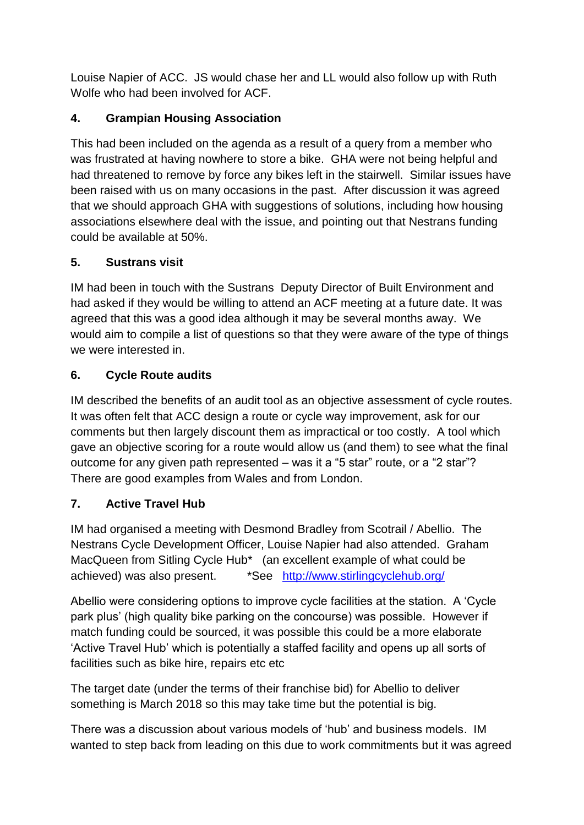Louise Napier of ACC. JS would chase her and LL would also follow up with Ruth Wolfe who had been involved for ACF.

## **4. Grampian Housing Association**

This had been included on the agenda as a result of a query from a member who was frustrated at having nowhere to store a bike. GHA were not being helpful and had threatened to remove by force any bikes left in the stairwell. Similar issues have been raised with us on many occasions in the past. After discussion it was agreed that we should approach GHA with suggestions of solutions, including how housing associations elsewhere deal with the issue, and pointing out that Nestrans funding could be available at 50%.

## **5. Sustrans visit**

IM had been in touch with the Sustrans Deputy Director of Built Environment and had asked if they would be willing to attend an ACF meeting at a future date. It was agreed that this was a good idea although it may be several months away. We would aim to compile a list of questions so that they were aware of the type of things we were interested in.

## **6. Cycle Route audits**

IM described the benefits of an audit tool as an objective assessment of cycle routes. It was often felt that ACC design a route or cycle way improvement, ask for our comments but then largely discount them as impractical or too costly. A tool which gave an objective scoring for a route would allow us (and them) to see what the final outcome for any given path represented – was it a "5 star" route, or a "2 star"? There are good examples from Wales and from London.

## **7. Active Travel Hub**

IM had organised a meeting with Desmond Bradley from Scotrail / Abellio. The Nestrans Cycle Development Officer, Louise Napier had also attended. Graham MacQueen from Sitling Cycle Hub\* (an excellent example of what could be achieved) was also present. \*See <http://www.stirlingcyclehub.org/>

Abellio were considering options to improve cycle facilities at the station. A 'Cycle park plus' (high quality bike parking on the concourse) was possible. However if match funding could be sourced, it was possible this could be a more elaborate 'Active Travel Hub' which is potentially a staffed facility and opens up all sorts of facilities such as bike hire, repairs etc etc

The target date (under the terms of their franchise bid) for Abellio to deliver something is March 2018 so this may take time but the potential is big.

There was a discussion about various models of 'hub' and business models. IM wanted to step back from leading on this due to work commitments but it was agreed